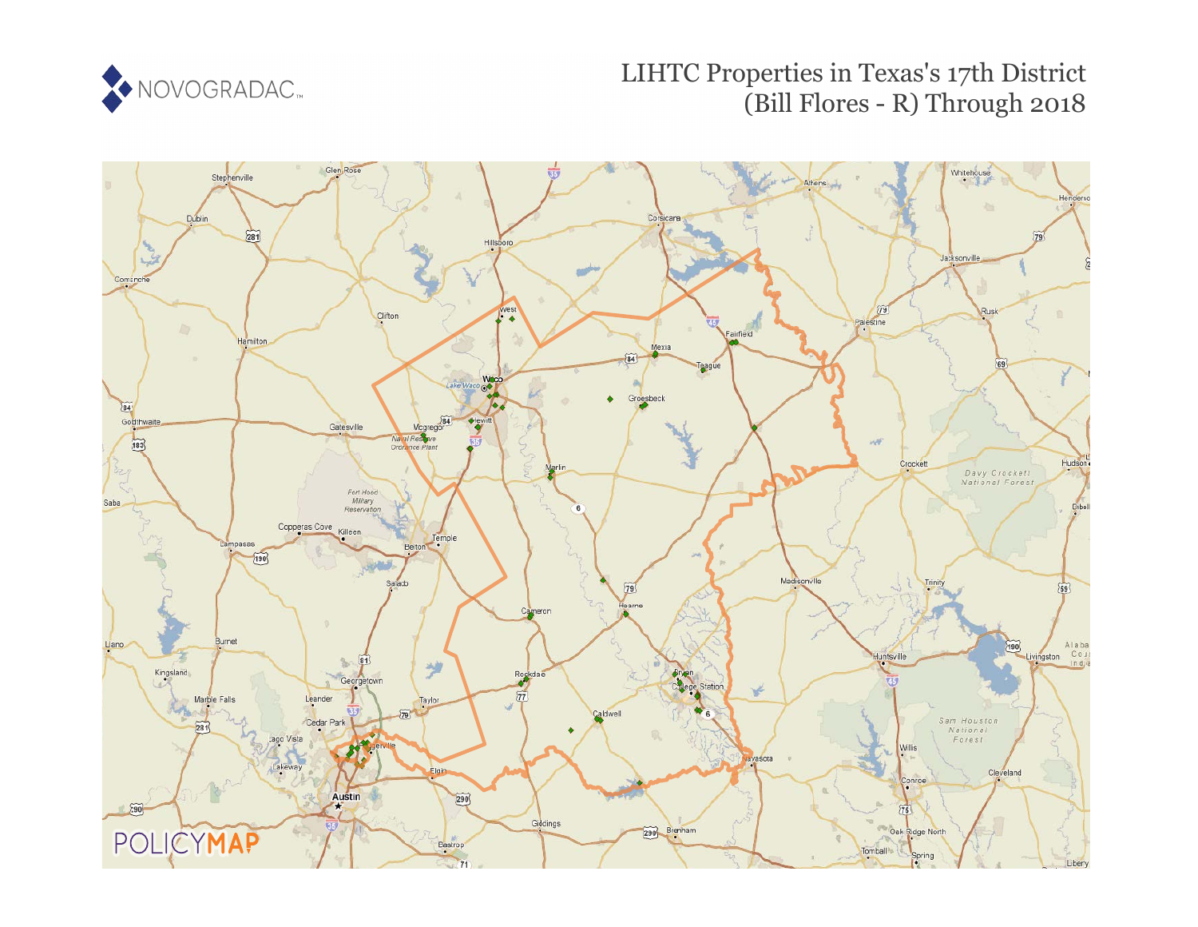

# LIHTC Properties in Texas's 17th District (Bill Flores - R) Through 2018

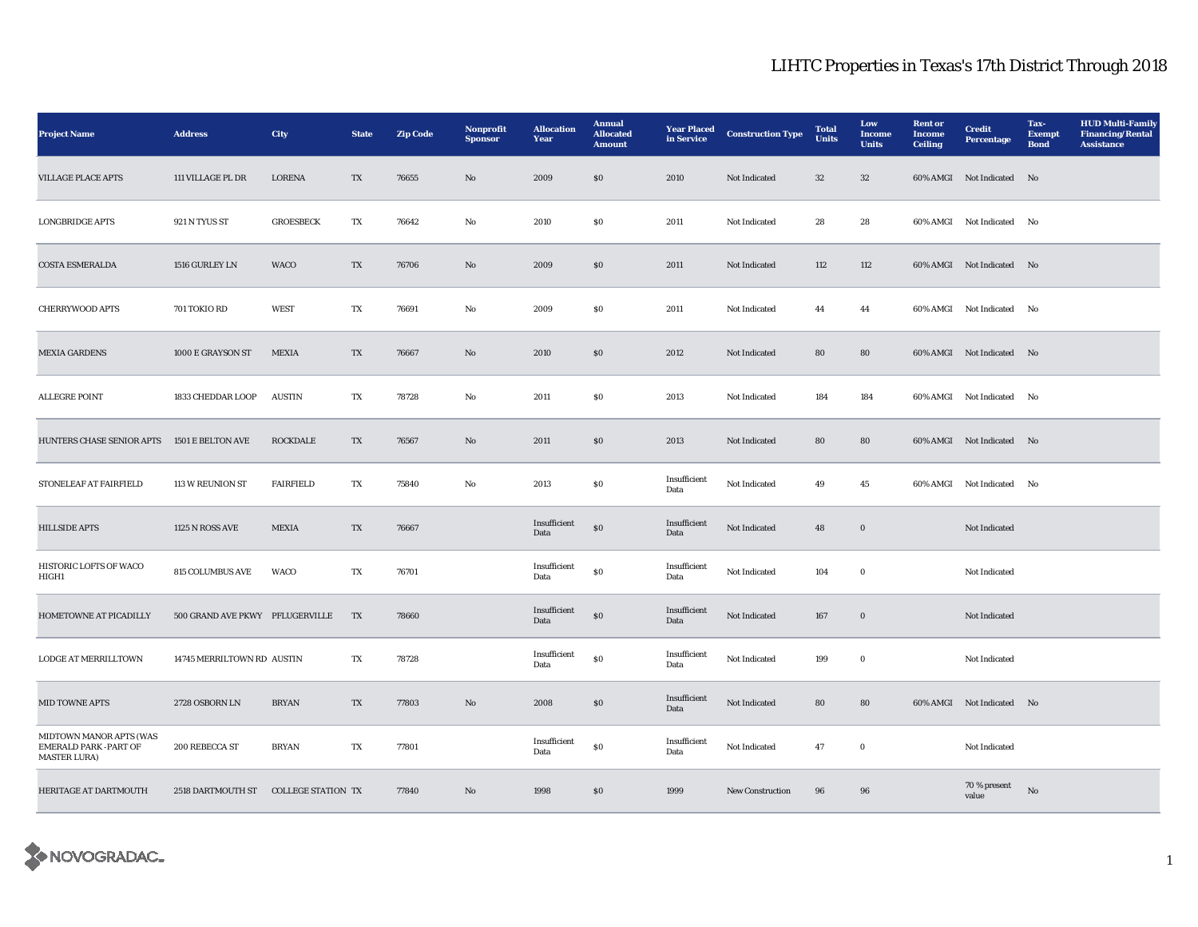| <b>Project Name</b>                                                            | <b>Address</b>                       | <b>City</b>                    | <b>State</b>             | <b>Zip Code</b> | Nonprofit<br><b>Sponsor</b> | <b>Allocation</b><br>Year | <b>Annual</b><br><b>Allocated</b><br><b>Amount</b> | <b>Year Placed</b><br>in Service | <b>Construction Type</b> | <b>Total</b><br><b>Units</b> | Low<br>Income<br><b>Units</b> | <b>Rent</b> or<br>Income<br><b>Ceiling</b> | <b>Credit</b><br><b>Percentage</b> | Tax-<br><b>Exempt</b><br><b>Bond</b> | <b>HUD Multi-Family</b><br><b>Financing/Rental</b><br><b>Assistance</b> |
|--------------------------------------------------------------------------------|--------------------------------------|--------------------------------|--------------------------|-----------------|-----------------------------|---------------------------|----------------------------------------------------|----------------------------------|--------------------------|------------------------------|-------------------------------|--------------------------------------------|------------------------------------|--------------------------------------|-------------------------------------------------------------------------|
| <b>VILLAGE PLACE APTS</b>                                                      | 111 VILLAGE PL DR                    | <b>LORENA</b>                  | TX                       | 76655           | No                          | 2009                      | \$0\$                                              | 2010                             | Not Indicated            | $32\,$                       | 32                            |                                            | 60% AMGI Not Indicated No          |                                      |                                                                         |
| <b>LONGBRIDGE APTS</b>                                                         | 921 N TYUS ST                        | <b>GROESBECK</b>               | TX                       | 76642           | No                          | 2010                      | $\boldsymbol{\mathsf{S}}\boldsymbol{\mathsf{0}}$   | 2011                             | <b>Not Indicated</b>     | 28                           | 28                            |                                            | 60% AMGI Not Indicated No          |                                      |                                                                         |
| <b>COSTA ESMERALDA</b>                                                         | 1516 GURLEY LN                       | WACO                           | TX                       | 76706           | No                          | 2009                      | $\boldsymbol{\mathsf{S}}\boldsymbol{\mathsf{0}}$   | 2011                             | Not Indicated            | 112                          | 112                           |                                            | 60% AMGI Not Indicated No          |                                      |                                                                         |
| <b>CHERRYWOOD APTS</b>                                                         | 701 TOKIO RD                         | <b>WEST</b>                    | TX                       | 76691           | No                          | 2009                      | \$0                                                | 2011                             | Not Indicated            | 44                           | 44                            |                                            | 60% AMGI Not Indicated No          |                                      |                                                                         |
| <b>MEXIA GARDENS</b>                                                           | 1000 E GRAYSON ST                    | <b>MEXIA</b>                   | TX                       | 76667           | No                          | 2010                      | SO                                                 | 2012                             | Not Indicated            | 80                           | 80                            |                                            | 60% AMGI Not Indicated No          |                                      |                                                                         |
| ALLEGRE POINT                                                                  | 1833 CHEDDAR LOOP                    | $\boldsymbol{\mathrm{AUSTIN}}$ | TX                       | 78728           | $_{\rm No}$                 | 2011                      | $\$0$                                              | 2013                             | Not Indicated            | 184                          | 184                           |                                            | 60% AMGI Not Indicated No          |                                      |                                                                         |
| HUNTERS CHASE SENIOR APTS 1501 E BELTON AVE                                    |                                      | <b>ROCKDALE</b>                | TX                       | 76567           | No                          | 2011                      | \$0\$                                              | 2013                             | Not Indicated            | 80                           | 80                            |                                            | 60% AMGI Not Indicated No          |                                      |                                                                         |
| STONELEAF AT FAIRFIELD                                                         | 113 W REUNION ST                     | <b>FAIRFIELD</b>               | TX                       | 75840           | No                          | 2013                      | $\boldsymbol{\mathsf{S}}\boldsymbol{\mathsf{0}}$   | Insufficient<br>Data             | Not Indicated            | 49                           | 45                            |                                            | 60% AMGI Not Indicated No          |                                      |                                                                         |
| <b>HILLSIDE APTS</b>                                                           | 1125 N ROSS AVE                      | <b>MEXIA</b>                   | TX                       | 76667           |                             | Insufficient<br>Data      | $\$0$                                              | Insufficient<br>Data             | Not Indicated            | 48                           | $\mathbf 0$                   |                                            | Not Indicated                      |                                      |                                                                         |
| HISTORIC LOFTS OF WACO<br>HIGH1                                                | <b>815 COLUMBUS AVE</b>              | WACO                           | TX                       | 76701           |                             | Insufficient<br>Data      | $\$0$                                              | Insufficient<br>Data             | Not Indicated            | 104                          | $\bf{0}$                      |                                            | Not Indicated                      |                                      |                                                                         |
| HOMETOWNE AT PICADILLY                                                         | 500 GRAND AVE PKWY PFLUGERVILLE      |                                | TX                       | 78660           |                             | Insufficient<br>Data      | ${\bf S0}$                                         | Insufficient<br>Data             | Not Indicated            | 167                          | $\boldsymbol{0}$              |                                            | Not Indicated                      |                                      |                                                                         |
| LODGE AT MERRILLTOWN                                                           | 14745 MERRILTOWN RD AUSTIN           |                                | TX                       | 78728           |                             | Insufficient<br>Data      | ${\bf S0}$                                         | Insufficient<br>Data             | Not Indicated            | 199                          | $\bf{0}$                      |                                            | Not Indicated                      |                                      |                                                                         |
| MID TOWNE APTS                                                                 | 2728 OSBORN LN                       | <b>BRYAN</b>                   | $\mathcal{T}\mathcal{X}$ | 77803           | No                          | 2008                      | $\$0$                                              | Insufficient<br>Data             | Not Indicated            | 80                           | 80                            |                                            | 60% AMGI Not Indicated No          |                                      |                                                                         |
| MIDTOWN MANOR APTS (WAS<br><b>EMERALD PARK -PART OF</b><br><b>MASTER LURA)</b> | 200 REBECCA ST                       | <b>BRYAN</b>                   | TX                       | 77801           |                             | Insufficient<br>Data      | ${\bf S0}$                                         | Insufficient<br>Data             | Not Indicated            | 47                           | $\bf{0}$                      |                                            | Not Indicated                      |                                      |                                                                         |
| HERITAGE AT DARTMOUTH                                                          | 2518 DARTMOUTH ST COLLEGE STATION TX |                                |                          | 77840           | No                          | 1998                      | \$0\$                                              | 1999                             | <b>New Construction</b>  | 96                           | 96                            |                                            | 70 % present<br>value              | $\mathbf{N}\mathbf{o}$               |                                                                         |

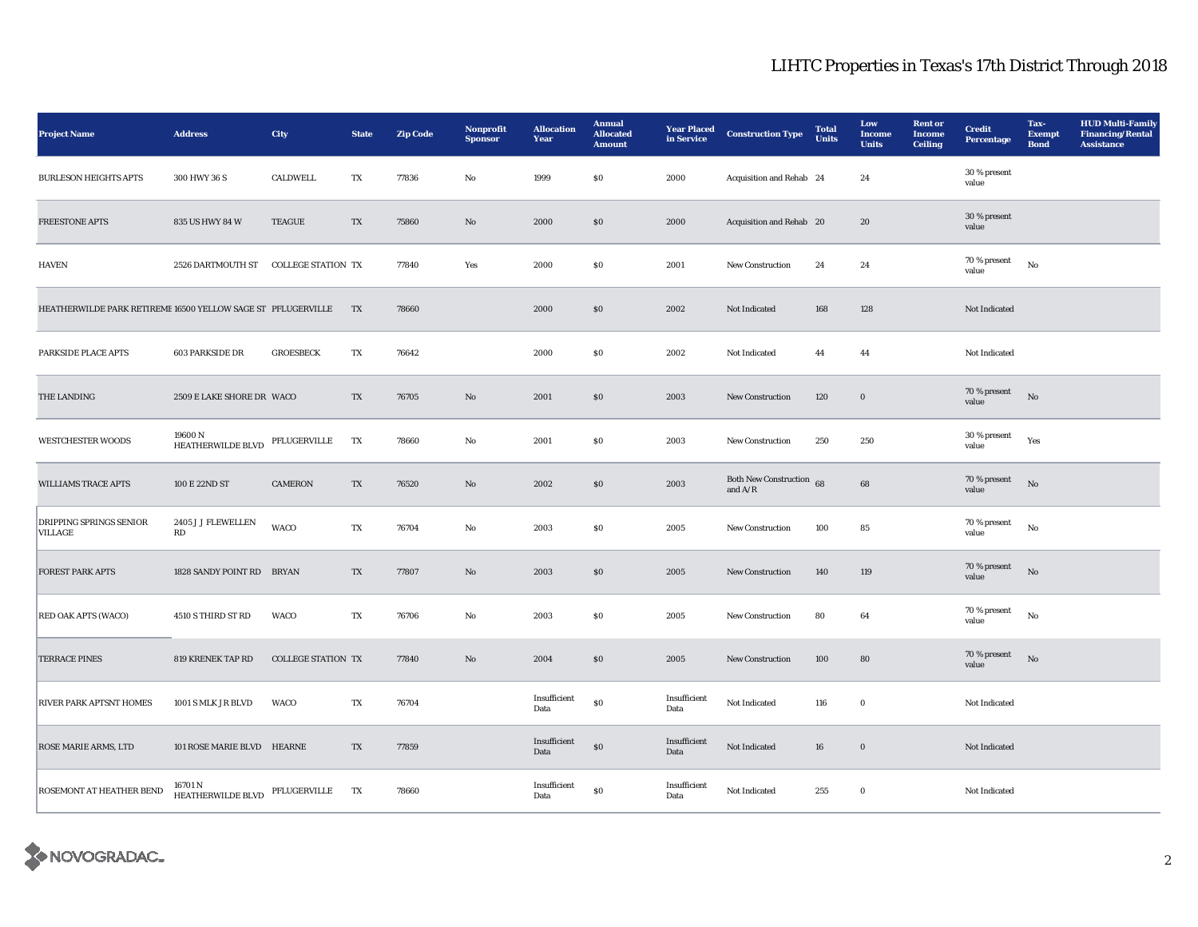| <b>Project Name</b>                                          | <b>Address</b>                            | City                      | <b>State</b> | <b>Zip Code</b> | Nonprofit<br><b>Sponsor</b> | <b>Allocation</b><br>Year | <b>Annual</b><br><b>Allocated</b><br><b>Amount</b> | <b>Year Placed</b><br>in Service | <b>Construction Type</b>              | <b>Total</b><br>Units | Low<br>Income<br><b>Units</b> | <b>Rent</b> or<br><b>Income</b><br>Ceiling | <b>Credit</b><br><b>Percentage</b> | Tax-<br><b>Exempt</b><br><b>Bond</b> | <b>HUD Multi-Family</b><br><b>Financing/Rental</b><br><b>Assistance</b> |
|--------------------------------------------------------------|-------------------------------------------|---------------------------|--------------|-----------------|-----------------------------|---------------------------|----------------------------------------------------|----------------------------------|---------------------------------------|-----------------------|-------------------------------|--------------------------------------------|------------------------------------|--------------------------------------|-------------------------------------------------------------------------|
| <b>BURLESON HEIGHTS APTS</b>                                 | 300 HWY 36 S                              | CALDWELL                  | TX           | 77836           | No                          | 1999                      | S <sub>0</sub>                                     | 2000                             | Acquisition and Rehab 24              |                       | 24                            |                                            | $30\,\%$ present<br>value          |                                      |                                                                         |
| <b>FREESTONE APTS</b>                                        | 835 US HWY 84 W                           | <b>TEAGUE</b>             | TX           | 75860           | $\mathbf{N}\mathbf{o}$      | 2000                      | \$0                                                | 2000                             | Acquisition and Rehab 20              |                       | 20                            |                                            | 30 % present<br>value              |                                      |                                                                         |
| <b>HAVEN</b>                                                 | 2526 DARTMOUTH ST                         | <b>COLLEGE STATION TX</b> |              | 77840           | Yes                         | 2000                      | <b>SO</b>                                          | 2001                             | New Construction                      | 24                    | 24                            |                                            | $70$ % present<br>value            | $_{\rm No}$                          |                                                                         |
| HEATHERWILDE PARK RETIREME 16500 YELLOW SAGE ST PFLUGERVILLE |                                           |                           | TX           | 78660           |                             | 2000                      | $\$0$                                              | 2002                             | Not Indicated                         | 168                   | 128                           |                                            | Not Indicated                      |                                      |                                                                         |
| PARKSIDE PLACE APTS                                          | <b>603 PARKSIDE DR</b>                    | <b>GROESBECK</b>          | TX           | 76642           |                             | 2000                      | $\$0$                                              | 2002                             | Not Indicated                         | 44                    | 44                            |                                            | Not Indicated                      |                                      |                                                                         |
| THE LANDING                                                  | 2509 E LAKE SHORE DR WACO                 |                           | TX           | 76705           | No                          | 2001                      | \$0                                                | 2003                             | <b>New Construction</b>               | 120                   | $\bf{0}$                      |                                            | 70 % present<br>value              | No                                   |                                                                         |
| <b>WESTCHESTER WOODS</b>                                     | 19600 N<br>HEATHERWILDE BLVD              | PFLUGERVILLE              | TX           | 78660           | No                          | 2001                      | S <sub>0</sub>                                     | 2003                             | <b>New Construction</b>               | 250                   | 250                           |                                            | 30 % present<br>value              | Yes                                  |                                                                         |
| <b>WILLIAMS TRACE APTS</b>                                   | 100 E 22ND ST                             | <b>CAMERON</b>            | TX           | 76520           | No                          | 2002                      | \$0                                                | 2003                             | Both New Construction 68<br>and $A/R$ |                       | 68                            |                                            | 70 % present<br>value              | $\rm No$                             |                                                                         |
| <b>DRIPPING SPRINGS SENIOR</b><br>VILLAGE                    | 2405 J J FLEWELLEN<br>RD                  | <b>WACO</b>               | TX           | 76704           | No                          | 2003                      | $\$0$                                              | 2005                             | New Construction                      | 100                   | 85                            |                                            | 70 % present<br>value              | $_{\rm No}$                          |                                                                         |
| <b>FOREST PARK APTS</b>                                      | 1828 SANDY POINT RD BRYAN                 |                           | TX           | 77807           | $\mathbf{N}\mathbf{o}$      | 2003                      | $\$0$                                              | 2005                             | New Construction                      | 140                   | 119                           |                                            | 70 % present<br>value              | $_{\rm No}$                          |                                                                         |
| <b>RED OAK APTS (WACO)</b>                                   | 4510 S THIRD ST RD                        | WACO                      | TX           | 76706           | No                          | 2003                      | $\$0$                                              | 2005                             | New Construction                      | 80                    | 64                            |                                            | 70 % present<br>value              | $_{\rm No}$                          |                                                                         |
| <b>TERRACE PINES</b>                                         | 819 KRENEK TAP RD                         | <b>COLLEGE STATION TX</b> |              | 77840           | No                          | 2004                      | \$0                                                | 2005                             | <b>New Construction</b>               | 100                   | 80                            |                                            | 70 % present<br>value              | No                                   |                                                                         |
| <b>RIVER PARK APTSNT HOMES</b>                               | 1001 S MLK JR BLVD                        | <b>WACO</b>               | TX           | 76704           |                             | Insufficient<br>Data      | S <sub>0</sub>                                     | Insufficient<br>Data             | Not Indicated                         | 116                   | $\bf{0}$                      |                                            | Not Indicated                      |                                      |                                                                         |
| <b>ROSE MARIE ARMS, LTD</b>                                  | 101 ROSE MARIE BLVD HEARNE                |                           | TX           | 77859           |                             | Insufficient<br>Data      | $\boldsymbol{\mathsf{S}}\boldsymbol{\mathsf{O}}$   | Insufficient<br>Data             | Not Indicated                         | 16                    | $\boldsymbol{0}$              |                                            | Not Indicated                      |                                      |                                                                         |
| <b>ROSEMONT AT HEATHER BEND</b>                              | 16701 N<br>HEATHERWILDE BLVD PFLUGERVILLE |                           | TX           | 78660           |                             | Insufficient<br>Data      | $\$0$                                              | Insufficient<br>Data             | Not Indicated                         | 255                   | $\bf{0}$                      |                                            | Not Indicated                      |                                      |                                                                         |

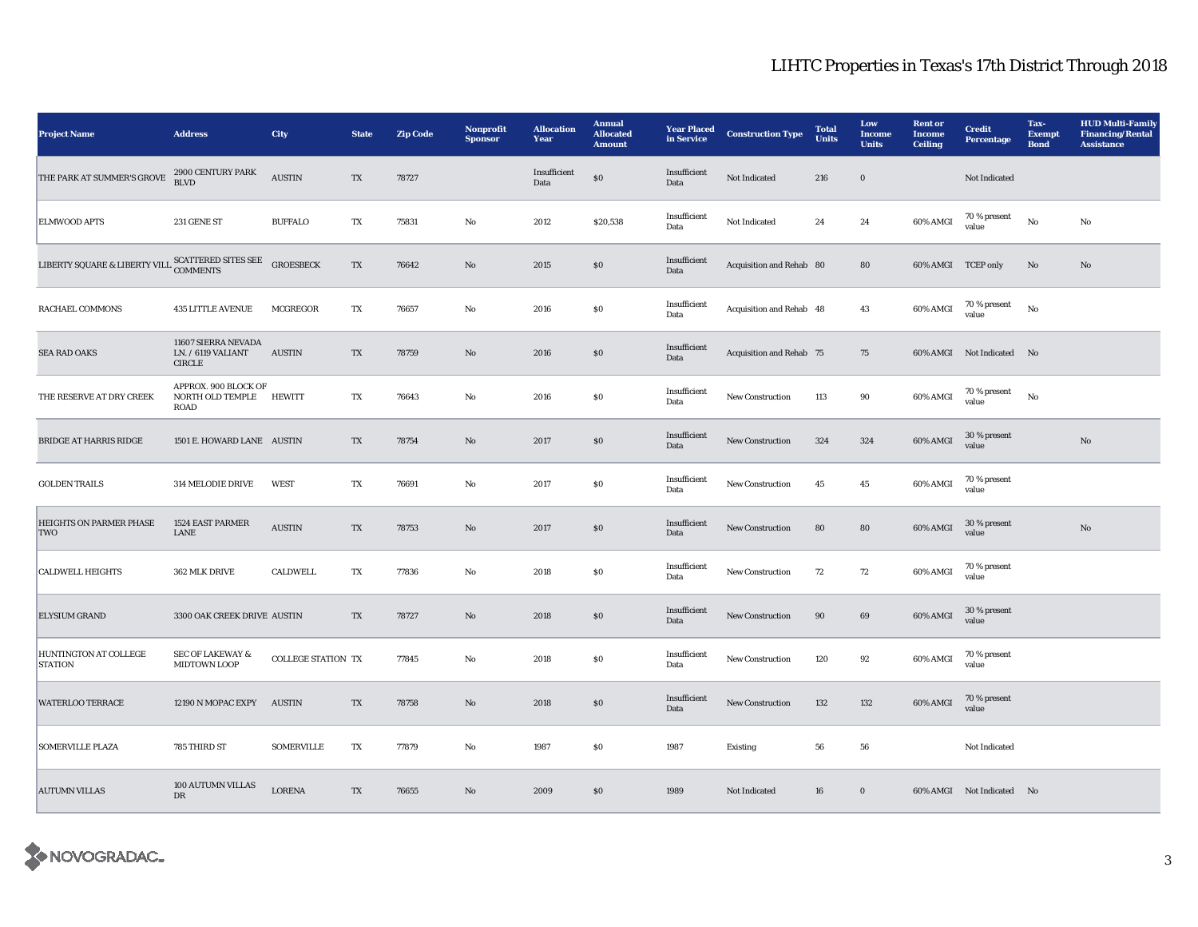| <b>Project Name</b>                                                  | <b>Address</b>                                             | City                           | <b>State</b> | <b>Zip Code</b> | Nonprofit<br><b>Sponsor</b> | <b>Allocation</b><br>Year | <b>Annual</b><br><b>Allocated</b><br><b>Amount</b> | <b>Year Placed</b><br>in Service | <b>Construction Type</b> | <b>Total</b><br><b>Units</b> | Low<br>Income<br><b>Units</b> | <b>Rent</b> or<br><b>Income</b><br>Ceiling | <b>Credit</b><br><b>Percentage</b> | Tax-<br><b>Exempt</b><br><b>Bond</b> | <b>HUD Multi-Family</b><br><b>Financing/Rental</b><br><b>Assistance</b> |
|----------------------------------------------------------------------|------------------------------------------------------------|--------------------------------|--------------|-----------------|-----------------------------|---------------------------|----------------------------------------------------|----------------------------------|--------------------------|------------------------------|-------------------------------|--------------------------------------------|------------------------------------|--------------------------------------|-------------------------------------------------------------------------|
| THE PARK AT SUMMER'S GROVE                                           | 2900 CENTURY PARK<br>BLVD                                  | <b>AUSTIN</b>                  | TX           | 78727           |                             | Insufficient<br>Data      | $\$0$                                              | Insufficient<br>Data             | Not Indicated            | 216                          | $\boldsymbol{0}$              |                                            | Not Indicated                      |                                      |                                                                         |
| <b>ELMWOOD APTS</b>                                                  | 231 GENE ST                                                | <b>BUFFALO</b>                 | TX           | 75831           | No                          | 2012                      | \$20,538                                           | Insufficient<br>Data             | Not Indicated            | 24                           | 24                            | 60% AMGI                                   | 70 % present<br>value              | No                                   | No                                                                      |
| LIBERTY SQUARE & LIBERTY VILL $\textsc{SCATTERED}$ STES SEE COMMENTS |                                                            | <b>GROESBECK</b>               | TX           | 76642           | No                          | 2015                      | \$0                                                | Insufficient<br>Data             | Acquisition and Rehab 80 |                              | 80                            | 60% AMGI TCEP only                         |                                    | No                                   | No                                                                      |
| <b>RACHAEL COMMONS</b>                                               | <b>435 LITTLE AVENUE</b>                                   | <b>MCGREGOR</b>                | TX           | 76657           | No                          | 2016                      | $\$0$                                              | Insufficient<br>Data             | Acquisition and Rehab 48 |                              | 43                            | 60% AMGI                                   | 70 % present<br>value              | No                                   |                                                                         |
| <b>SEA RAD OAKS</b>                                                  | 11607 SIERRA NEVADA<br>LN. / 6119 VALIANT<br><b>CIRCLE</b> | $\boldsymbol{\mathrm{AUSTIN}}$ | TX           | 78759           | $\mathbf{No}$               | 2016                      | $\$0$                                              | Insufficient<br>Data             | Acquisition and Rehab 75 |                              | 75                            |                                            | 60% AMGI Not Indicated No          |                                      |                                                                         |
| THE RESERVE AT DRY CREEK                                             | APPROX. 900 BLOCK OF<br>NORTH OLD TEMPLE HEWITT<br>ROAD    |                                | TX           | 76643           | No                          | 2016                      | $\$0$                                              | Insufficient<br>Data             | New Construction         | 113                          | 90                            | 60% AMGI                                   | 70 % present<br>value              | No                                   |                                                                         |
| <b>BRIDGE AT HARRIS RIDGE</b>                                        | 1501 E. HOWARD LANE AUSTIN                                 |                                | TX           | 78754           | No                          | 2017                      | \$0                                                | Insufficient<br>Data             | New Construction         | 324                          | 324                           | 60% AMGI                                   | 30 % present<br>value              |                                      | $\mathbf{N}\mathbf{o}$                                                  |
| <b>GOLDEN TRAILS</b>                                                 | 314 MELODIE DRIVE                                          | <b>WEST</b>                    | TX           | 76691           | No                          | 2017                      | $\$0$                                              | Insufficient<br>Data             | New Construction         | 45                           | 45                            | 60% AMGI                                   | 70 % present<br>value              |                                      |                                                                         |
| <b>HEIGHTS ON PARMER PHASE</b><br>TWO                                | <b>1524 EAST PARMER</b><br>LANE                            | <b>AUSTIN</b>                  | TX           | 78753           | No                          | 2017                      | \$0                                                | Insufficient<br>Data             | <b>New Construction</b>  | 80                           | 80                            | 60% AMGI                                   | 30 % present<br>value              |                                      | No                                                                      |
| <b>CALDWELL HEIGHTS</b>                                              | 362 MLK DRIVE                                              | <b>CALDWELL</b>                | TX           | 77836           | No                          | 2018                      | <b>SO</b>                                          | Insufficient<br>Data             | <b>New Construction</b>  | 72                           | 72                            | 60% AMGI                                   | 70 % present<br>value              |                                      |                                                                         |
| <b>ELYSIUM GRAND</b>                                                 | 3300 OAK CREEK DRIVE AUSTIN                                |                                | TX           | 78727           | No                          | 2018                      | \$0                                                | Insufficient<br>Data             | <b>New Construction</b>  | 90                           | 69                            | 60% AMGI                                   | 30 % present<br>value              |                                      |                                                                         |
| HUNTINGTON AT COLLEGE<br><b>STATION</b>                              | <b>SEC OF LAKEWAY &amp;</b><br><b>MIDTOWN LOOP</b>         | <b>COLLEGE STATION TX</b>      |              | 77845           | No                          | 2018                      | $\$0$                                              | Insufficient<br>Data             | New Construction         | 120                          | 92                            | 60% AMGI                                   | 70 % present<br>value              |                                      |                                                                         |
| <b>WATERLOO TERRACE</b>                                              | 12190 N MOPAC EXPY                                         | <b>AUSTIN</b>                  | TX           | 78758           | $\mathbf{N}\mathbf{o}$      | 2018                      | $\$0$                                              | Insufficient<br>Data             | New Construction         | 132                          | 132                           | 60% AMGI                                   | 70 % present<br>value              |                                      |                                                                         |
| <b>SOMERVILLE PLAZA</b>                                              | 785 THIRD ST                                               | <b>SOMERVILLE</b>              | TX           | 77879           | No                          | 1987                      | S <sub>0</sub>                                     | 1987                             | <b>Existing</b>          | 56                           | 56                            |                                            | Not Indicated                      |                                      |                                                                         |
| <b>AUTUMN VILLAS</b>                                                 | 100 AUTUMN VILLAS<br>$_{\rm DR}$                           | <b>LORENA</b>                  | TX           | 76655           | No                          | 2009                      | S <sub>0</sub>                                     | 1989                             | Not Indicated            | 16                           | $\bf{0}$                      |                                            | 60% AMGI Not Indicated No          |                                      |                                                                         |

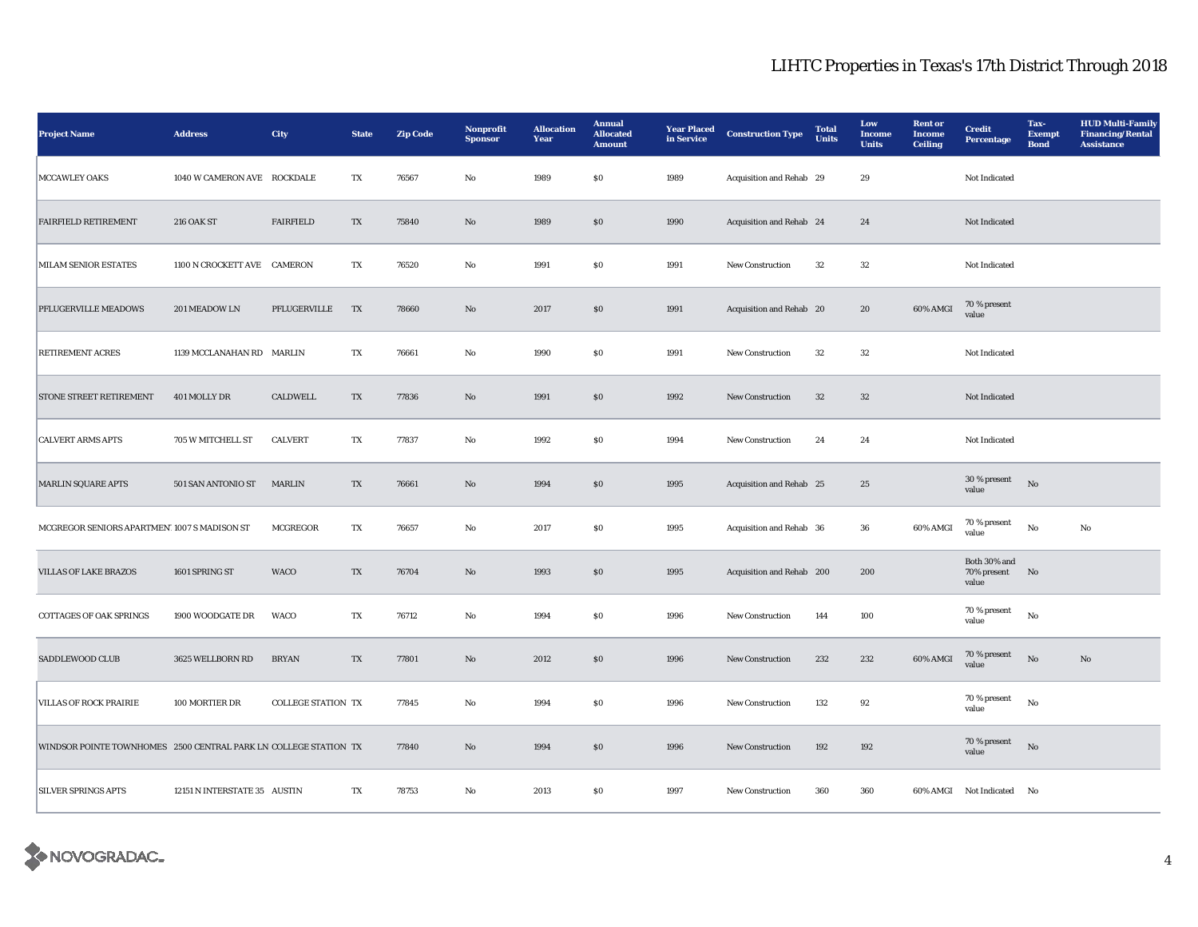| <b>Project Name</b>                                              | <b>Address</b>               | City                      | <b>State</b>            | <b>Zip Code</b> | <b>Nonprofit</b><br><b>Sponsor</b> | <b>Allocation</b><br>Year | <b>Annual</b><br><b>Allocated</b><br><b>Amount</b> | <b>Year Placed</b><br>in Service | <b>Construction Type</b>  | <b>Total</b><br>Units | Low<br>Income<br><b>Units</b> | <b>Rent</b> or<br><b>Income</b><br><b>Ceiling</b> | <b>Credit</b><br>Percentage             | Tax-<br><b>Exempt</b><br><b>Bond</b> | <b>HUD Multi-Family</b><br><b>Financing/Rental</b><br><b>Assistance</b> |
|------------------------------------------------------------------|------------------------------|---------------------------|-------------------------|-----------------|------------------------------------|---------------------------|----------------------------------------------------|----------------------------------|---------------------------|-----------------------|-------------------------------|---------------------------------------------------|-----------------------------------------|--------------------------------------|-------------------------------------------------------------------------|
| <b>MCCAWLEY OAKS</b>                                             | 1040 W CAMERON AVE ROCKDALE  |                           | TX                      | 76567           | No                                 | 1989                      | S <sub>0</sub>                                     | 1989                             | Acquisition and Rehab 29  |                       | 29                            |                                                   | Not Indicated                           |                                      |                                                                         |
| <b>FAIRFIELD RETIREMENT</b>                                      | <b>216 OAK ST</b>            | <b>FAIRFIELD</b>          | $\mathbf{T} \mathbf{X}$ | 75840           | $\mathbf{No}$                      | 1989                      | $\$0$                                              | 1990                             | Acquisition and Rehab 24  |                       | 24                            |                                                   | Not Indicated                           |                                      |                                                                         |
| <b>MILAM SENIOR ESTATES</b>                                      | 1100 N CROCKETT AVE CAMERON  |                           | TX                      | 76520           | No                                 | 1991                      | \$0\$                                              | 1991                             | <b>New Construction</b>   | 32                    | $32\,$                        |                                                   | Not Indicated                           |                                      |                                                                         |
| PFLUGERVILLE MEADOWS                                             | 201 MEADOW LN                | PFLUGERVILLE              | TX                      | 78660           | $\mathbf{No}$                      | 2017                      | $\$0$                                              | 1991                             | Acquisition and Rehab 20  |                       | ${\bf 20}$                    | 60% AMGI                                          | 70 % present<br>value                   |                                      |                                                                         |
| <b>RETIREMENT ACRES</b>                                          | 1139 MCCLANAHAN RD MARLIN    |                           | TX                      | 76661           | No                                 | 1990                      | $\$0$                                              | 1991                             | New Construction          | $32\,$                | $32\,$                        |                                                   | Not Indicated                           |                                      |                                                                         |
| <b>STONE STREET RETIREMENT</b>                                   | 401 MOLLY DR                 | CALDWELL                  | TX                      | 77836           | No                                 | 1991                      | \$0                                                | 1992                             | <b>New Construction</b>   | 32                    | 32                            |                                                   | Not Indicated                           |                                      |                                                                         |
| <b>CALVERT ARMS APTS</b>                                         | 705 W MITCHELL ST            | <b>CALVERT</b>            | TX                      | 77837           | No                                 | 1992                      | <b>SO</b>                                          | 1994                             | <b>New Construction</b>   | 24                    | 24                            |                                                   | Not Indicated                           |                                      |                                                                         |
| MARLIN SQUARE APTS                                               | 501 SAN ANTONIO ST           | <b>MARLIN</b>             | TX                      | 76661           | $\mathbf{No}$                      | 1994                      | $\boldsymbol{\mathsf{S}}\boldsymbol{\mathsf{O}}$   | 1995                             | Acquisition and Rehab 25  |                       | 25                            |                                                   | 30 % present<br>value                   | $_{\rm No}$                          |                                                                         |
| MCGREGOR SENIORS APARTMENT1007 S MADISON ST                      |                              | <b>MCGREGOR</b>           | TX                      | 76657           | No                                 | 2017                      | <b>SO</b>                                          | 1995                             | Acquisition and Rehab 36  |                       | 36                            | 60% AMGI                                          | $70$ % present<br>value                 | No                                   | No                                                                      |
| <b>VILLAS OF LAKE BRAZOS</b>                                     | 1601 SPRING ST               | <b>WACO</b>               | $\mathbf{T} \mathbf{X}$ | 76704           | No                                 | 1993                      | $\$0$                                              | 1995                             | Acquisition and Rehab 200 |                       | 200                           |                                                   | Both 30% and<br>70% present No<br>value |                                      |                                                                         |
| <b>COTTAGES OF OAK SPRINGS</b>                                   | 1900 WOODGATE DR             | WACO                      | TX                      | 76712           | No                                 | 1994                      | \$0\$                                              | 1996                             | <b>New Construction</b>   | 144                   | 100                           |                                                   | 70 % present<br>value                   | No                                   |                                                                         |
| SADDLEWOOD CLUB                                                  | 3625 WELLBORN RD             | <b>BRYAN</b>              | TX                      | 77801           | $\mathbf{No}$                      | 2012                      | \$0                                                | 1996                             | New Construction          | 232                   | 232                           | 60% AMGI                                          | $70\,\%$ present<br>value               | $_{\rm No}$                          | $\mathbf{N}\mathbf{o}$                                                  |
| <b>VILLAS OF ROCK PRAIRIE</b>                                    | 100 MORTIER DR               | <b>COLLEGE STATION TX</b> |                         | 77845           | No                                 | 1994                      | $\$0$                                              | 1996                             | New Construction          | 132                   | 92                            |                                                   | 70 % present<br>value                   | No                                   |                                                                         |
| WINDSOR POINTE TOWNHOMES 2500 CENTRAL PARK LN COLLEGE STATION TX |                              |                           |                         | 77840           | $\mathbf{No}$                      | 1994                      | \$0                                                | 1996                             | <b>New Construction</b>   | 192                   | 192                           |                                                   | 70 % present<br>value                   | No                                   |                                                                         |
| <b>SILVER SPRINGS APTS</b>                                       | 12151 N INTERSTATE 35 AUSTIN |                           | TX                      | 78753           | No                                 | 2013                      | S <sub>0</sub>                                     | 1997                             | <b>New Construction</b>   | 360                   | 360                           |                                                   | 60% AMGI Not Indicated No               |                                      |                                                                         |